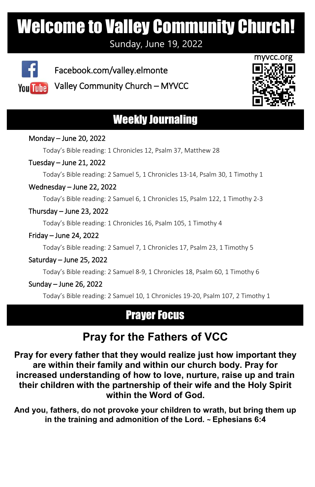# Welcome to Valley Community Church!

Sunday, June 19, 2022



 Facebook.com/valley.elmonte You Tube Valley Community Church – MYVCC



# Weekly Journaling

#### Monday – June 20, 2022

Today's Bible reading: 1 Chronicles 12, Psalm 37, Matthew 28

#### Tuesday – June 21, 2022

Today's Bible reading: 2 Samuel 5, 1 Chronicles 13-14, Psalm 30, 1 Timothy 1

#### Wednesday – June 22, 2022

Today's Bible reading: 2 Samuel 6, 1 Chronicles 15, Psalm 122, 1 Timothy 2-3

#### Thursday – June 23, 2022

Today's Bible reading: 1 Chronicles 16, Psalm 105, 1 Timothy 4

#### Friday – June 24, 2022

Today's Bible reading: 2 Samuel 7, 1 Chronicles 17, Psalm 23, 1 Timothy 5

#### Saturday – June 25, 2022

Today's Bible reading: 2 Samuel 8-9, 1 Chronicles 18, Psalm 60, 1 Timothy 6

#### Sunday – June 26, 2022

l

Today's Bible reading: 2 Samuel 10, 1 Chronicles 19-20, Psalm 107, 2 Timothy 1

## **Prayer Focus**

# **Pray for the Fathers of VCC**

**Pray for every father that they would realize just how important they are within their family and within our church body. Pray for increased understanding of how to love, nurture, raise up and train their children with the partnership of their wife and the Holy Spirit within the Word of God.**

**And you, fathers, do not provoke your children to wrath, but bring them up in the training and admonition of the Lord. ~ Ephesians 6:4**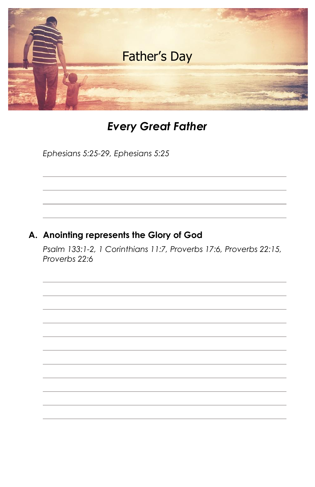

## *Every Great Father*

*Ephesians 5:25-29, Ephesians 5:25*

#### **A. Anointing represents the Glory of God**

*Psalm 133:1-2, 1 Corinthians 11:7, Proverbs 17:6, Proverbs 22:15, Proverbs 22:6*